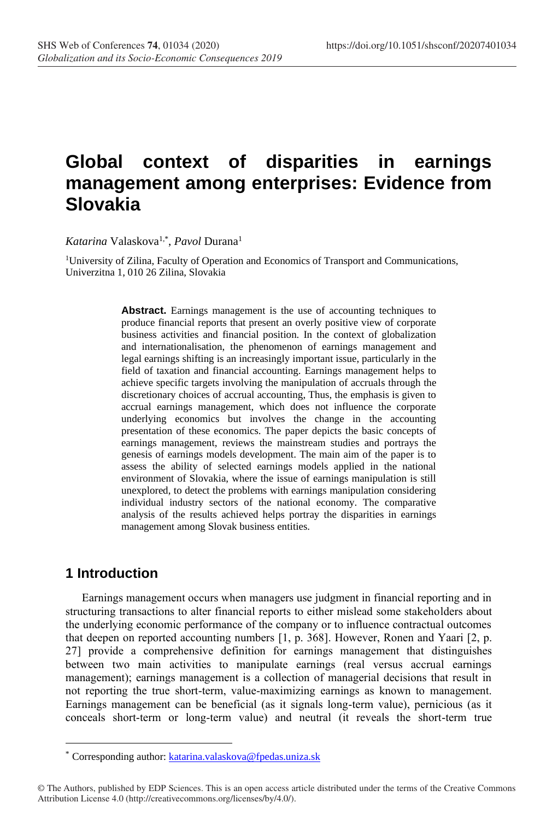# **Global context of disparities in earnings management among enterprises: Evidence from Slovakia**

*Katarina* Valaskova1,\* , *Pavol* Durana<sup>1</sup>

<sup>1</sup>University of Zilina, Faculty of Operation and Economics of Transport and Communications, Univerzitna 1, 010 26 Zilina, Slovakia

> **Abstract.** Earnings management is the use of accounting techniques to produce financial reports that present an overly positive view of corporate business activities and financial position. In the context of globalization and internationalisation, the phenomenon of earnings management and legal earnings shifting is an increasingly important issue, particularly in the field of taxation and financial accounting. Earnings management helps to achieve specific targets involving the manipulation of accruals through the discretionary choices of accrual accounting, Thus, the emphasis is given to accrual earnings management, which does not influence the corporate underlying economics but involves the change in the accounting presentation of these economics. The paper depicts the basic concepts of earnings management, reviews the mainstream studies and portrays the genesis of earnings models development. The main aim of the paper is to assess the ability of selected earnings models applied in the national environment of Slovakia, where the issue of earnings manipulation is still unexplored, to detect the problems with earnings manipulation considering individual industry sectors of the national economy. The comparative analysis of the results achieved helps portray the disparities in earnings management among Slovak business entities.

# **1 Introduction**

Earnings management occurs when managers use judgment in financial reporting and in structuring transactions to alter financial reports to either mislead some stakeholders about the underlying economic performance of the company or to influence contractual outcomes that deepen on reported accounting numbers [1, p. 368]. However, Ronen and Yaari [2, p. 27] provide a comprehensive definition for earnings management that distinguishes between two main activities to manipulate earnings (real versus accrual earnings management); earnings management is a collection of managerial decisions that result in not reporting the true short-term, value-maximizing earnings as known to management. Earnings management can be beneficial (as it signals long-term value), pernicious (as it conceals short-term or long-term value) and neutral (it reveals the short-term true

<sup>\*</sup> Corresponding author: [katarina.valaskova@fpedas.uniza.sk](mailto:katarina.valaskova@fpedas.uniza.sk)

<sup>©</sup> The Authors, published by EDP Sciences. This is an open access article distributed under the terms of the Creative Commons Attribution License 4.0 (http://creativecommons.org/licenses/by/4.0/).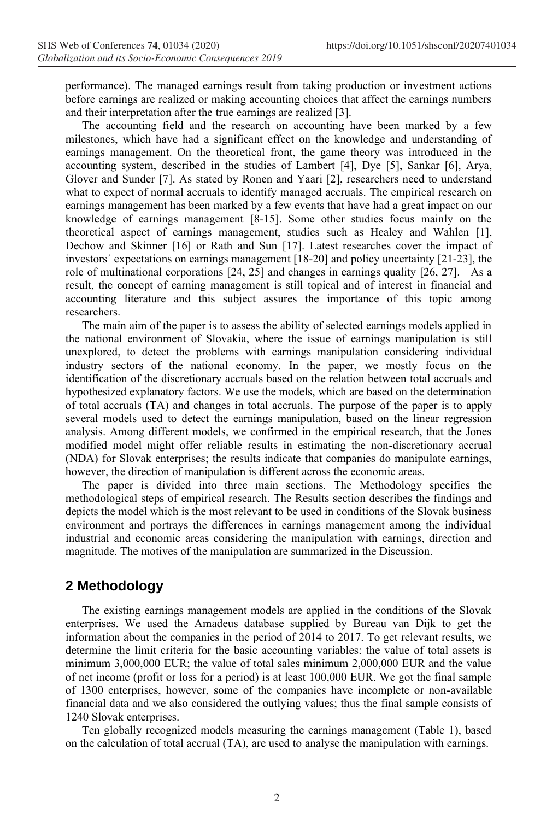performance). The managed earnings result from taking production or investment actions before earnings are realized or making accounting choices that affect the earnings numbers and their interpretation after the true earnings are realized [3].

The accounting field and the research on accounting have been marked by a few milestones, which have had a significant effect on the knowledge and understanding of earnings management. On the theoretical front, the game theory was introduced in the accounting system, described in the studies of Lambert [4], Dye [5], Sankar [6], Arya, Glover and Sunder [7]. As stated by Ronen and Yaari [2], researchers need to understand what to expect of normal accruals to identify managed accruals. The empirical research on earnings management has been marked by a few events that have had a great impact on our knowledge of earnings management [8-15]. Some other studies focus mainly on the theoretical aspect of earnings management, studies such as Healey and Wahlen [1], Dechow and Skinner [16] or Rath and Sun [17]. Latest researches cover the impact of investors´ expectations on earnings management [18-20] and policy uncertainty [21-23], the role of multinational corporations [24, 25] and changes in earnings quality [26, 27]. As a result, the concept of earning management is still topical and of interest in financial and accounting literature and this subject assures the importance of this topic among researchers.

The main aim of the paper is to assess the ability of selected earnings models applied in the national environment of Slovakia, where the issue of earnings manipulation is still unexplored, to detect the problems with earnings manipulation considering individual industry sectors of the national economy. In the paper, we mostly focus on the identification of the discretionary accruals based on the relation between total accruals and hypothesized explanatory factors. We use the models, which are based on the determination of total accruals (TA) and changes in total accruals. The purpose of the paper is to apply several models used to detect the earnings manipulation, based on the linear regression analysis. Among different models, we confirmed in the empirical research, that the Jones modified model might offer reliable results in estimating the non-discretionary accrual (NDA) for Slovak enterprises; the results indicate that companies do manipulate earnings, however, the direction of manipulation is different across the economic areas.

The paper is divided into three main sections. The Methodology specifies the methodological steps of empirical research. The Results section describes the findings and depicts the model which is the most relevant to be used in conditions of the Slovak business environment and portrays the differences in earnings management among the individual industrial and economic areas considering the manipulation with earnings, direction and magnitude. The motives of the manipulation are summarized in the Discussion.

# **2 Methodology**

The existing earnings management models are applied in the conditions of the Slovak enterprises. We used the Amadeus database supplied by Bureau van Dijk to get the information about the companies in the period of 2014 to 2017. To get relevant results, we determine the limit criteria for the basic accounting variables: the value of total assets is minimum 3,000,000 EUR; the value of total sales minimum 2,000,000 EUR and the value of net income (profit or loss for a period) is at least 100,000 EUR. We got the final sample of 1300 enterprises, however, some of the companies have incomplete or non-available financial data and we also considered the outlying values; thus the final sample consists of 1240 Slovak enterprises.

Ten globally recognized models measuring the earnings management (Table 1), based on the calculation of total accrual (TA), are used to analyse the manipulation with earnings.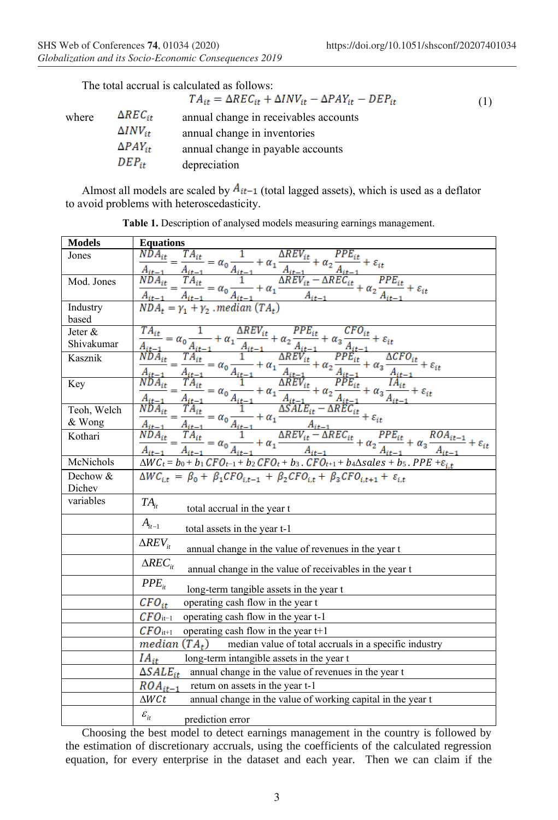|       |                   | $TA_{it} = \Delta REC_{it} + \Delta INV_{it} - \Delta PAY_{it} - DEP_{it}$ | (1) |
|-------|-------------------|----------------------------------------------------------------------------|-----|
| where | $\Delta REC_{it}$ | annual change in receivables accounts                                      |     |
|       | $\Delta INV_{it}$ | annual change in inventories                                               |     |
|       | $\Delta PAY_{it}$ | annual change in payable accounts                                          |     |
|       | $DEP_{it}$        | depreciation                                                               |     |

Almost all models are scaled by  $A_{it-1}$  (total lagged assets), which is used as a deflator to avoid problems with heteroscedasticity.

| <b>Models</b> | <b>Equations</b>                                                                                                                                                                                                                                                                                                                                                                                                                                         |
|---------------|----------------------------------------------------------------------------------------------------------------------------------------------------------------------------------------------------------------------------------------------------------------------------------------------------------------------------------------------------------------------------------------------------------------------------------------------------------|
| Jones         | $\frac{PPE_{it}}{\cdot} + \varepsilon_{it}$                                                                                                                                                                                                                                                                                                                                                                                                              |
|               |                                                                                                                                                                                                                                                                                                                                                                                                                                                          |
| Mod. Jones    |                                                                                                                                                                                                                                                                                                                                                                                                                                                          |
|               |                                                                                                                                                                                                                                                                                                                                                                                                                                                          |
| Industry      | $\frac{NDA_{it}}{A_{it-1}} = \frac{TA_{it}}{A_{it-1}} = \alpha_0 \frac{1}{A_{it-1}} + \alpha_1 \frac{\Delta REV_{it}}{A_{it-1}} + \alpha_2 \frac{PPE_{it}}{A_{it-1}} + \varepsilon_{it}$<br>$\frac{NDA_{it}}{A_{it-1}} = \frac{TA_{it}}{A_{it-1}} = \alpha_0 \frac{1}{A_{it-1}} + \alpha_1 \frac{\Delta REV_{it} - \Delta REC_{it}}{A_{it-1}} + \alpha_2 \frac{PPE_{it}}{A_{it-1}} + \varepsilon_{it}$<br>$NDA_t = \gamma_1 + \gamma_2 \text{ .$         |
| based         |                                                                                                                                                                                                                                                                                                                                                                                                                                                          |
| Jeter &       | $\frac{\textit{CFO}_{it}}{\cdot \cdot} + \varepsilon_{it}$                                                                                                                                                                                                                                                                                                                                                                                               |
| Shivakumar    |                                                                                                                                                                                                                                                                                                                                                                                                                                                          |
| Kasznik       |                                                                                                                                                                                                                                                                                                                                                                                                                                                          |
|               |                                                                                                                                                                                                                                                                                                                                                                                                                                                          |
| Key           |                                                                                                                                                                                                                                                                                                                                                                                                                                                          |
|               |                                                                                                                                                                                                                                                                                                                                                                                                                                                          |
| Teoh, Welch   |                                                                                                                                                                                                                                                                                                                                                                                                                                                          |
| & Wong        |                                                                                                                                                                                                                                                                                                                                                                                                                                                          |
| Kothari       | $\begin{aligned} &\frac{TA_{it}}{A_{it-1}} = \alpha_0 \frac{1}{A_{it-1}} + \alpha_1 \frac{\Delta REV_{it}}{A_{it-1}} + \alpha_2 \frac{PPE_{it}}{A_{it-1}} + \alpha_3 \frac{CFO_{it}}{A_{it-1}} + \varepsilon_{it} \\ &\frac{NDA_{it}}{A_{it-1}} = \frac{TA_{it}}{A_{it-1}} = \alpha_0 \frac{1}{A_{it-1}} + \alpha_1 \frac{\Delta REV_{it}}{A_{it-1}} + \alpha_2 \frac{PPE_{it}}{A_{it-1}} + \alpha_3 \frac{\Delta CFO_{it}}{A_{it-1}} + \varepsilon_{it$ |
|               |                                                                                                                                                                                                                                                                                                                                                                                                                                                          |
| McNichols     | $\Delta WC_t = b_0 + b_1$ $CFO_{t-1} + b_2$ $CFO_t + b_3$ . $CFO_{t+1} + b_4\Delta sales + b_5$ . $PPE + \varepsilon_{i,t}$                                                                                                                                                                                                                                                                                                                              |
| Dechow &      | $\Delta WC_{i,t} = \beta_0 + \beta_1 CFO_{i,t-1} + \beta_2 CFO_{i,t} + \beta_3 CFO_{i,t+1} + \varepsilon_{i,t}$                                                                                                                                                                                                                                                                                                                                          |
| Dichev        |                                                                                                                                                                                                                                                                                                                                                                                                                                                          |
| variables     | $TA_{it}$<br>total accrual in the year t                                                                                                                                                                                                                                                                                                                                                                                                                 |
|               | $A_{it-1}$<br>total assets in the year t-1                                                                                                                                                                                                                                                                                                                                                                                                               |
|               |                                                                                                                                                                                                                                                                                                                                                                                                                                                          |
|               | $\triangle REV_{it}$<br>annual change in the value of revenues in the year t                                                                                                                                                                                                                                                                                                                                                                             |
|               | $\triangle REC_{it}$<br>annual change in the value of receivables in the year t                                                                                                                                                                                                                                                                                                                                                                          |
|               | $PPE_{it}$<br>long-term tangible assets in the year t                                                                                                                                                                                                                                                                                                                                                                                                    |
|               | $CFO_{it}$<br>operating cash flow in the year t                                                                                                                                                                                                                                                                                                                                                                                                          |
|               | $CFO_{it-1}$<br>operating cash flow in the year t-1                                                                                                                                                                                                                                                                                                                                                                                                      |
|               | $\mathcal{CFO}_{\mathrm{it}+1}$<br>operating cash flow in the year $t+1$                                                                                                                                                                                                                                                                                                                                                                                 |
|               | <i>median</i> $(TA_t)$ median value of total accruals in a specific industry                                                                                                                                                                                                                                                                                                                                                                             |
|               | $IA_{it}$<br>long-term intangible assets in the year t                                                                                                                                                                                                                                                                                                                                                                                                   |
|               | $\Delta SALE_{it}$<br>annual change in the value of revenues in the year t                                                                                                                                                                                                                                                                                                                                                                               |
|               | $ROA_{it-1}$<br>return on assets in the year t-1                                                                                                                                                                                                                                                                                                                                                                                                         |
|               | $\Delta W C t$<br>annual change in the value of working capital in the year t                                                                                                                                                                                                                                                                                                                                                                            |
|               | $\varepsilon$ <sub>it</sub>                                                                                                                                                                                                                                                                                                                                                                                                                              |
|               | prediction error                                                                                                                                                                                                                                                                                                                                                                                                                                         |

**Table 1.** Description of analysed models measuring earnings management.

Choosing the best model to detect earnings management in the country is followed by the estimation of discretionary accruals, using the coefficients of the calculated regression equation, for every enterprise in the dataset and each year. Then we can claim if the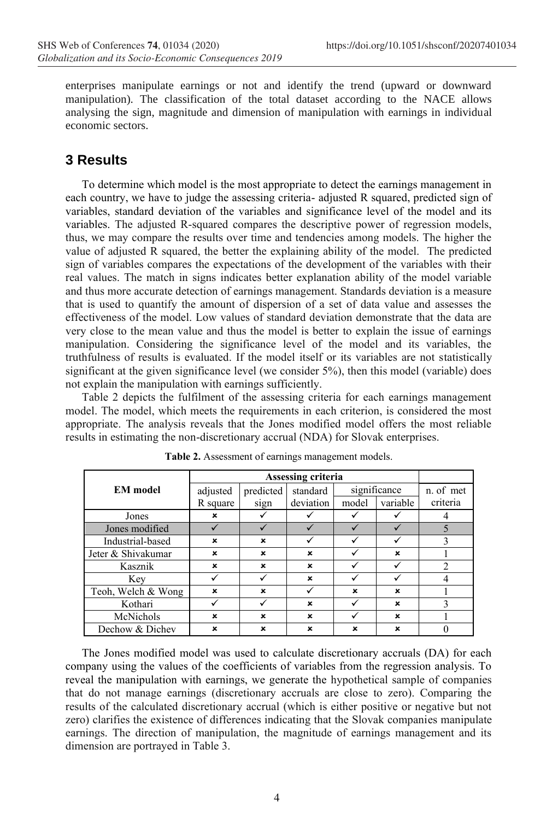enterprises manipulate earnings or not and identify the trend (upward or downward manipulation). The classification of the total dataset according to the NACE allows analysing the sign, magnitude and dimension of manipulation with earnings in individual economic sectors.

# **3 Results**

To determine which model is the most appropriate to detect the earnings management in each country, we have to judge the assessing criteria- adjusted R squared, predicted sign of variables, standard deviation of the variables and significance level of the model and its variables. The adjusted R-squared compares the descriptive power of regression models, thus, we may compare the results over time and tendencies among models. The higher the value of adjusted R squared, the better the explaining ability of the model. The predicted sign of variables compares the expectations of the development of the variables with their real values. The match in signs indicates better explanation ability of the model variable and thus more accurate detection of earnings management. Standards deviation is a measure that is used to quantify the amount of dispersion of a set of data value and assesses the effectiveness of the model. Low values of standard deviation demonstrate that the data are very close to the mean value and thus the model is better to explain the issue of earnings manipulation. Considering the significance level of the model and its variables, the truthfulness of results is evaluated. If the model itself or its variables are not statistically significant at the given significance level (we consider 5%), then this model (variable) does not explain the manipulation with earnings sufficiently.

Table 2 depicts the fulfilment of the assessing criteria for each earnings management model. The model, which meets the requirements in each criterion, is considered the most appropriate. The analysis reveals that the Jones modified model offers the most reliable results in estimating the non-discretionary accrual (NDA) for Slovak enterprises.

| <b>EM</b> model    | adjusted                  | predicted | standard  | significance |             | n. of met |
|--------------------|---------------------------|-----------|-----------|--------------|-------------|-----------|
|                    | R square                  | sign      | deviation | model        | variable    | criteria  |
| Jones              | ×                         |           |           |              |             |           |
| Jones modified     |                           |           |           |              |             |           |
| Industrial-based   | ×                         | ×         |           |              |             | 3         |
| Jeter & Shivakumar | $\boldsymbol{\mathsf{x}}$ | ×         | ×         |              | ×           |           |
| Kasznik            | ×                         | ×         | ×         |              |             |           |
| Key                |                           |           | ×         |              |             |           |
| Teoh, Welch & Wong | ×                         | ×         |           | ×            | ×           |           |
| Kothari            |                           |           | ×         |              | $\mathbf x$ | 3         |
| McNichols          | ×                         | ×         | ×         |              | ×           |           |
| Dechow & Dichev    | ×                         | ×         | ×         | ×            | ×           |           |

**Table 2.** Assessment of earnings management models.

The Jones modified model was used to calculate discretionary accruals (DA) for each company using the values of the coefficients of variables from the regression analysis. To reveal the manipulation with earnings, we generate the hypothetical sample of companies that do not manage earnings (discretionary accruals are close to zero). Comparing the results of the calculated discretionary accrual (which is either positive or negative but not zero) clarifies the existence of differences indicating that the Slovak companies manipulate earnings. The direction of manipulation, the magnitude of earnings management and its dimension are portrayed in Table 3.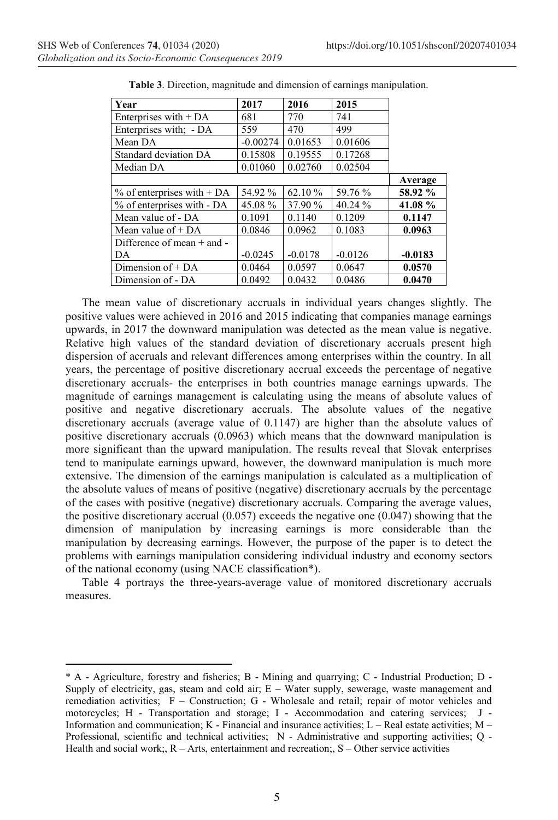| Year                                   | 2017       | 2016      | 2015      |           |
|----------------------------------------|------------|-----------|-----------|-----------|
| Enterprises with $+ DA$                | 681        | 770       | 741       |           |
| Enterprises with: - DA                 | 559        | 470       | 499       |           |
| Mean DA                                | $-0.00274$ | 0.01653   | 0.01606   |           |
| Standard deviation DA                  | 0.15808    | 0.19555   | 0.17268   |           |
| Median DA                              | 0.01060    | 0.02760   | 0.02504   |           |
|                                        |            |           |           | Average   |
| % of enterprises with $+\overline{DA}$ | 54.92 %    | 62.10%    | 59.76 %   | 58.92 %   |
| % of enterprises with - DA             | 45.08%     | 37.90 %   | 40.24%    | 41.08%    |
| Mean value of - DA                     | 0.1091     | 0.1140    | 0.1209    | 0.1147    |
| Mean value of $+DA$                    | 0.0846     | 0.0962    | 0.1083    | 0.0963    |
| Difference of mean $+$ and $-$         |            |           |           |           |
| DA                                     | $-0.0245$  | $-0.0178$ | $-0.0126$ | $-0.0183$ |
| Dimension of + DA                      | 0.0464     | 0.0597    | 0.0647    | 0.0570    |
| Dimension of - DA                      | 0.0492     | 0.0432    | 0.0486    | 0.0470    |

**Table 3**. Direction, magnitude and dimension of earnings manipulation.

The mean value of discretionary accruals in individual years changes slightly. The positive values were achieved in 2016 and 2015 indicating that companies manage earnings upwards, in 2017 the downward manipulation was detected as the mean value is negative. Relative high values of the standard deviation of discretionary accruals present high dispersion of accruals and relevant differences among enterprises within the country. In all years, the percentage of positive discretionary accrual exceeds the percentage of negative discretionary accruals- the enterprises in both countries manage earnings upwards. The magnitude of earnings management is calculating using the means of absolute values of positive and negative discretionary accruals. The absolute values of the negative discretionary accruals (average value of 0.1147) are higher than the absolute values of positive discretionary accruals (0.0963) which means that the downward manipulation is more significant than the upward manipulation. The results reveal that Slovak enterprises tend to manipulate earnings upward, however, the downward manipulation is much more extensive. The dimension of the earnings manipulation is calculated as a multiplication of the absolute values of means of positive (negative) discretionary accruals by the percentage of the cases with positive (negative) discretionary accruals. Comparing the average values, the positive discretionary accrual  $(0.057)$  exceeds the negative one  $(0.047)$  showing that the dimension of manipulation by increasing earnings is more considerable than the manipulation by decreasing earnings. However, the purpose of the paper is to detect the problems with earnings manipulation considering individual industry and economy sectors of the national economy (using NACE classification\*).

Table 4 portrays the three-years-average value of monitored discretionary accruals measures.

<sup>\*</sup> †A - Agriculture, forestry and fisheries; B - Mining and quarrying; C - Industrial Production; D - Supply of electricity, gas, steam and cold air; E – Water supply, sewerage, waste management and remediation activities; F – Construction; G - Wholesale and retail; repair of motor vehicles and motorcycles; H - Transportation and storage; I - Accommodation and catering services; J - Information and communication; K - Financial and insurance activities; L – Real estate activities; M – Professional, scientific and technical activities; N - Administrative and supporting activities; Q - Health and social work;,  $R - Arts$ , entertainment and recreation;,  $S - Other$  service activities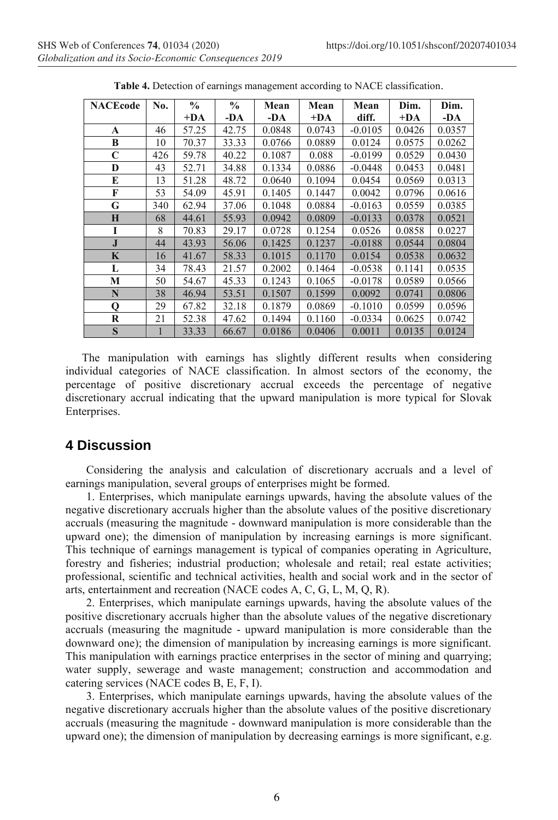| <b>NACEcode</b> | No. | $\frac{0}{0}$ | $\frac{6}{6}$ | Mean   | Mean   | Mean      | Dim.   | Dim.   |
|-----------------|-----|---------------|---------------|--------|--------|-----------|--------|--------|
|                 |     | $+DA$         | -DA           | -DA    | $+DA$  | diff.     | $+DA$  | -DA    |
| A               | 46  | 57.25         | 42.75         | 0.0848 | 0.0743 | $-0.0105$ | 0.0426 | 0.0357 |
| B               | 10  | 70.37         | 33.33         | 0.0766 | 0.0889 | 0.0124    | 0.0575 | 0.0262 |
| $\mathbf C$     | 426 | 59.78         | 40.22         | 0.1087 | 0.088  | $-0.0199$ | 0.0529 | 0.0430 |
| D               | 43  | 52.71         | 34.88         | 0.1334 | 0.0886 | $-0.0448$ | 0.0453 | 0.0481 |
| E               | 13  | 51.28         | 48.72         | 0.0640 | 0.1094 | 0.0454    | 0.0569 | 0.0313 |
| F               | 53  | 54.09         | 45.91         | 0.1405 | 0.1447 | 0.0042    | 0.0796 | 0.0616 |
| G               | 340 | 62.94         | 37.06         | 0.1048 | 0.0884 | $-0.0163$ | 0.0559 | 0.0385 |
| H               | 68  | 44.61         | 55.93         | 0.0942 | 0.0809 | $-0.0133$ | 0.0378 | 0.0521 |
| I               | 8   | 70.83         | 29.17         | 0.0728 | 0.1254 | 0.0526    | 0.0858 | 0.0227 |
| $\bf J$         | 44  | 43.93         | 56.06         | 0.1425 | 0.1237 | $-0.0188$ | 0.0544 | 0.0804 |
| K               | 16  | 41.67         | 58.33         | 0.1015 | 0.1170 | 0.0154    | 0.0538 | 0.0632 |
| L               | 34  | 78.43         | 21.57         | 0.2002 | 0.1464 | $-0.0538$ | 0.1141 | 0.0535 |
| M               | 50  | 54.67         | 45.33         | 0.1243 | 0.1065 | $-0.0178$ | 0.0589 | 0.0566 |
| N               | 38  | 46.94         | 53.51         | 0.1507 | 0.1599 | 0.0092    | 0.0741 | 0.0806 |
| Q               | 29  | 67.82         | 32.18         | 0.1879 | 0.0869 | $-0.1010$ | 0.0599 | 0.0596 |
| R               | 21  | 52.38         | 47.62         | 0.1494 | 0.1160 | $-0.0334$ | 0.0625 | 0.0742 |
| $\mathbf S$     | 1   | 33.33         | 66.67         | 0.0186 | 0.0406 | 0.0011    | 0.0135 | 0.0124 |

**Table 4.** Detection of earnings management according to NACE classification.

The manipulation with earnings has slightly different results when considering individual categories of NACE classification. In almost sectors of the economy, the percentage of positive discretionary accrual exceeds the percentage of negative discretionary accrual indicating that the upward manipulation is more typical for Slovak Enterprises.

### **4 Discussion**

Considering the analysis and calculation of discretionary accruals and a level of earnings manipulation, several groups of enterprises might be formed.

1. Enterprises, which manipulate earnings upwards, having the absolute values of the negative discretionary accruals higher than the absolute values of the positive discretionary accruals (measuring the magnitude - downward manipulation is more considerable than the upward one); the dimension of manipulation by increasing earnings is more significant. This technique of earnings management is typical of companies operating in Agriculture, forestry and fisheries; industrial production; wholesale and retail; real estate activities; professional, scientific and technical activities, health and social work and in the sector of arts, entertainment and recreation (NACE codes A, C, G, L, M, Q, R).

2. Enterprises, which manipulate earnings upwards, having the absolute values of the positive discretionary accruals higher than the absolute values of the negative discretionary accruals (measuring the magnitude - upward manipulation is more considerable than the downward one); the dimension of manipulation by increasing earnings is more significant. This manipulation with earnings practice enterprises in the sector of mining and quarrying; water supply, sewerage and waste management; construction and accommodation and catering services (NACE codes B, E, F, I).

3. Enterprises, which manipulate earnings upwards, having the absolute values of the negative discretionary accruals higher than the absolute values of the positive discretionary accruals (measuring the magnitude - downward manipulation is more considerable than the upward one); the dimension of manipulation by decreasing earnings is more significant, e.g.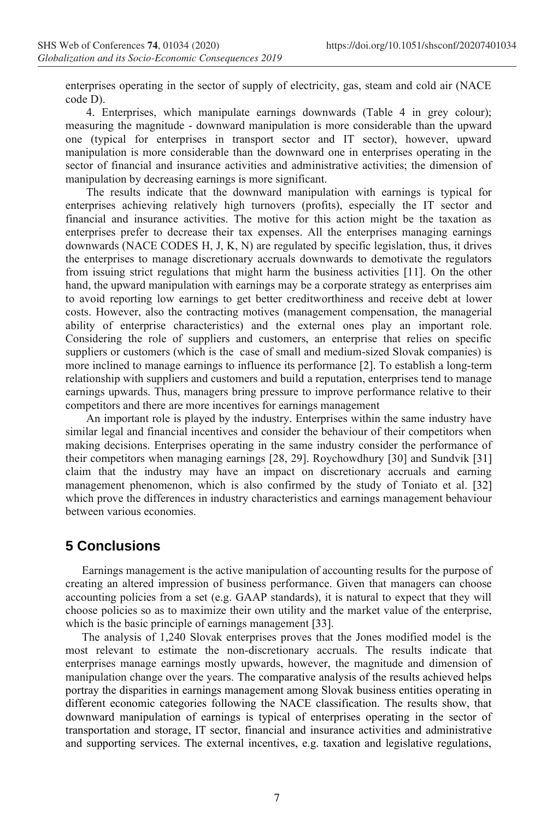enterprises operating in the sector of supply of electricity, gas, steam and cold air (NACE code D).

4. Enterprises, which manipulate earnings downwards (Table 4 in grey colour); measuring the magnitude - downward manipulation is more considerable than the upward one (typical for enterprises in transport sector and IT sector), however, upward manipulation is more considerable than the downward one in enterprises operating in the sector of financial and insurance activities and administrative activities; the dimension of manipulation by decreasing earnings is more significant.

The results indicate that the downward manipulation with earnings is typical for enterprises achieving relatively high turnovers (profits), especially the IT sector and financial and insurance activities. The motive for this action might be the taxation as enterprises prefer to decrease their tax expenses. All the enterprises managing earnings downwards (NACE CODES H, J, K, N) are regulated by specific legislation, thus, it drives the enterprises to manage discretionary accruals downwards to demotivate the regulators from issuing strict regulations that might harm the business activities [11]. On the other hand, the upward manipulation with earnings may be a corporate strategy as enterprises aim to avoid reporting low earnings to get better creditworthiness and receive debt at lower costs. However, also the contracting motives (management compensation, the managerial ability of enterprise characteristics) and the external ones play an important role. Considering the role of suppliers and customers, an enterprise that relies on specific suppliers or customers (which is the case of small and medium-sized Slovak companies) is more inclined to manage earnings to influence its performance [2]. To establish a long-term relationship with suppliers and customers and build a reputation, enterprises tend to manage earnings upwards. Thus, managers bring pressure to improve performance relative to their competitors and there are more incentives for earnings management

An important role is played by the industry. Enterprises within the same industry have similar legal and financial incentives and consider the behaviour of their competitors when making decisions. Enterprises operating in the same industry consider the performance of their competitors when managing earnings [28, 29]. Roychowdhury [30] and Sundvik [31] claim that the industry may have an impact on discretionary accruals and earning management phenomenon, which is also confirmed by the study of Toniato et al. [32] which prove the differences in industry characteristics and earnings management behaviour between various economies.

# **5 Conclusions**

Earnings management is the active manipulation of accounting results for the purpose of creating an altered impression of business performance. Given that managers can choose accounting policies from a set (e.g. GAAP standards), it is natural to expect that they will choose policies so as to maximize their own utility and the market value of the enterprise, which is the basic principle of earnings management [33].

The analysis of 1,240 Slovak enterprises proves that the Jones modified model is the most relevant to estimate the non-discretionary accruals. The results indicate that enterprises manage earnings mostly upwards, however, the magnitude and dimension of manipulation change over the years. The comparative analysis of the results achieved helps portray the disparities in earnings management among Slovak business entities operating in different economic categories following the NACE classification. The results show, that downward manipulation of earnings is typical of enterprises operating in the sector of transportation and storage, IT sector, financial and insurance activities and administrative and supporting services. The external incentives, e.g. taxation and legislative regulations,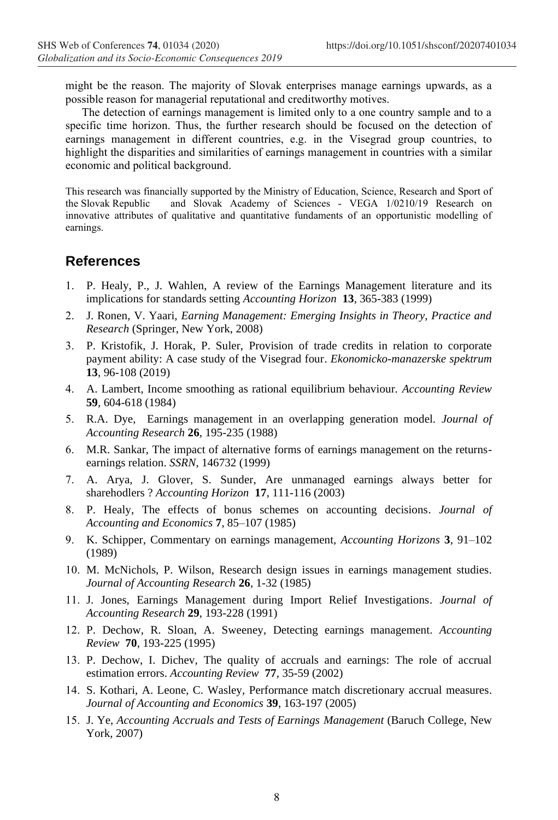might be the reason. The majority of Slovak enterprises manage earnings upwards, as a possible reason for managerial reputational and creditworthy motives.

The detection of earnings management is limited only to a one country sample and to a specific time horizon. Thus, the further research should be focused on the detection of earnings management in different countries, e.g. in the Visegrad group countries, to highlight the disparities and similarities of earnings management in countries with a similar economic and political background.

This research was financially supported by the Ministry of Education, Science, Research and Sport of the Slovak Republic and Slovak Academy of Sciences - VEGA 1/0210/19 Research on innovative attributes of qualitative and quantitative fundaments of an opportunistic modelling of earnings.

#### **References**

- 1. P. Healy, P., J. Wahlen, A review of the Earnings Management literature and its implications for standards setting *Accounting Horizon* **13**, 365-383 (1999)
- 2. J. Ronen, V. Yaari, *Earning Management: Emerging Insights in Theory, Practice and Research* (Springer, New York, 2008)
- 3. P. Kristofik, J. Horak, P. Suler, Provision of trade credits in relation to corporate payment ability: A case study of the Visegrad four. *Ekonomicko-manazerske spektrum* **13**, 96-108 (2019)
- 4. A. Lambert, Income smoothing as rational equilibrium behaviour. *Accounting Review* **59**, 604-618 (1984)
- 5. R.A. Dye, Earnings management in an overlapping generation model. *Journal of Accounting Research* **26**, 195-235 (1988)
- 6. M.R. Sankar, The impact of alternative forms of earnings management on the returnsearnings relation. *SSRN*, 146732 (1999)
- 7. A. Arya, J. Glover, S. Sunder, Are unmanaged earnings always better for sharehodlers ? *Accounting Horizon* **17**, 111-116 (2003)
- 8. P. Healy, The effects of bonus schemes on accounting decisions. *Journal of Accounting and Economics* **7**, 85–107 (1985)
- 9. K. Schipper, Commentary on earnings management, *Accounting Horizons* **3**, 91–102 (1989)
- 10. M. McNichols, P. Wilson, Research design issues in earnings management studies. *Journal of Accounting Research* **26**, 1-32 (1985)
- 11. J. Jones, Earnings Management during Import Relief Investigations. *Journal of Accounting Research* **29**, 193-228 (1991)
- 12. P. Dechow, R. Sloan, A. Sweeney, Detecting earnings management. *Accounting Review* **70**, 193-225 (1995)
- 13. P. Dechow, I. Dichev, The quality of accruals and earnings: The role of accrual estimation errors. *Accounting Review* **77**, 35-59 (2002)
- 14. S. Kothari, A. Leone, C. Wasley, Performance match discretionary accrual measures. *Journal of Accounting and Economics* **39**, 163-197 (2005)
- 15. J. Ye, *Accounting Accruals and Tests of Earnings Management* (Baruch College, New York, 2007)